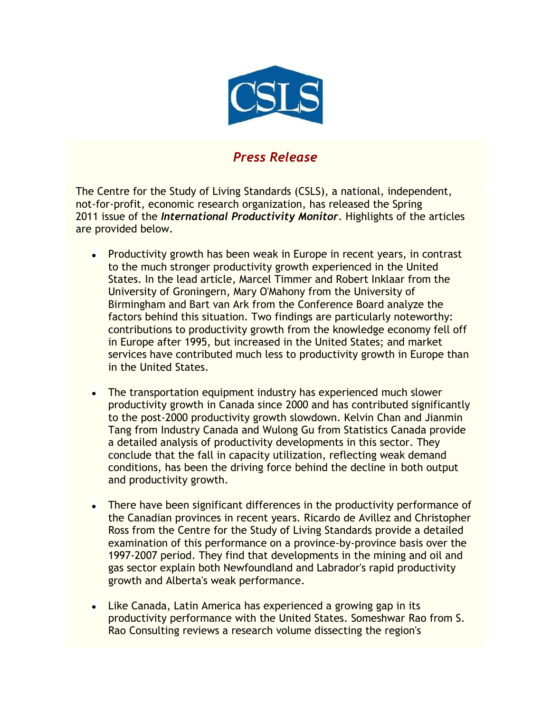

## *Press Release*

The Centre for the Study of Living Standards (CSLS), a national, independent, not-for-profit, economic research organization, has released the Spring 2011 issue of the *International Productivity Monitor*. Highlights of the articles are provided below.

- Productivity growth has been weak in Europe in recent years, in contrast  $\bullet$ to the much stronger productivity growth experienced in the United States. In the lead article, Marcel Timmer and Robert Inklaar from the University of Groningern, Mary O'Mahony from the University of Birmingham and Bart van Ark from the Conference Board analyze the factors behind this situation. Two findings are particularly noteworthy: contributions to productivity growth from the knowledge economy fell off in Europe after 1995, but increased in the United States; and market services have contributed much less to productivity growth in Europe than in the United States.
- The transportation equipment industry has experienced much slower  $\bullet$ productivity growth in Canada since 2000 and has contributed significantly to the post-2000 productivity growth slowdown. Kelvin Chan and Jianmin Tang from Industry Canada and Wulong Gu from Statistics Canada provide a detailed analysis of productivity developments in this sector. They conclude that the fall in capacity utilization, reflecting weak demand conditions, has been the driving force behind the decline in both output and productivity growth.
- There have been significant differences in the productivity performance of  $\bullet$ the Canadian provinces in recent years. Ricardo de Avillez and Christopher Ross from the Centre for the Study of Living Standards provide a detailed examination of this performance on a province-by-province basis over the 1997-2007 period. They find that developments in the mining and oil and gas sector explain both Newfoundland and Labrador's rapid productivity growth and Alberta's weak performance.
- Like Canada, Latin America has experienced a growing gap in its  $\bullet$ productivity performance with the United States. Someshwar Rao from S. Rao Consulting reviews a research volume dissecting the region's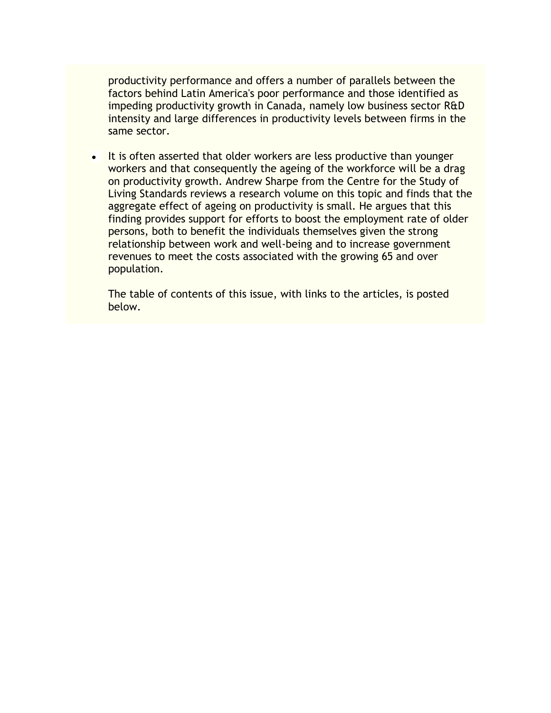productivity performance and offers a number of parallels between the factors behind Latin America's poor performance and those identified as impeding productivity growth in Canada, namely low business sector R&D intensity and large differences in productivity levels between firms in the same sector.

It is often asserted that older workers are less productive than younger  $\bullet$ workers and that consequently the ageing of the workforce will be a drag on productivity growth. Andrew Sharpe from the Centre for the Study of Living Standards reviews a research volume on this topic and finds that the aggregate effect of ageing on productivity is small. He argues that this finding provides support for efforts to boost the employment rate of older persons, both to benefit the individuals themselves given the strong relationship between work and well-being and to increase government revenues to meet the costs associated with the growing 65 and over population.

The table of contents of this issue, with links to the articles, is posted below.